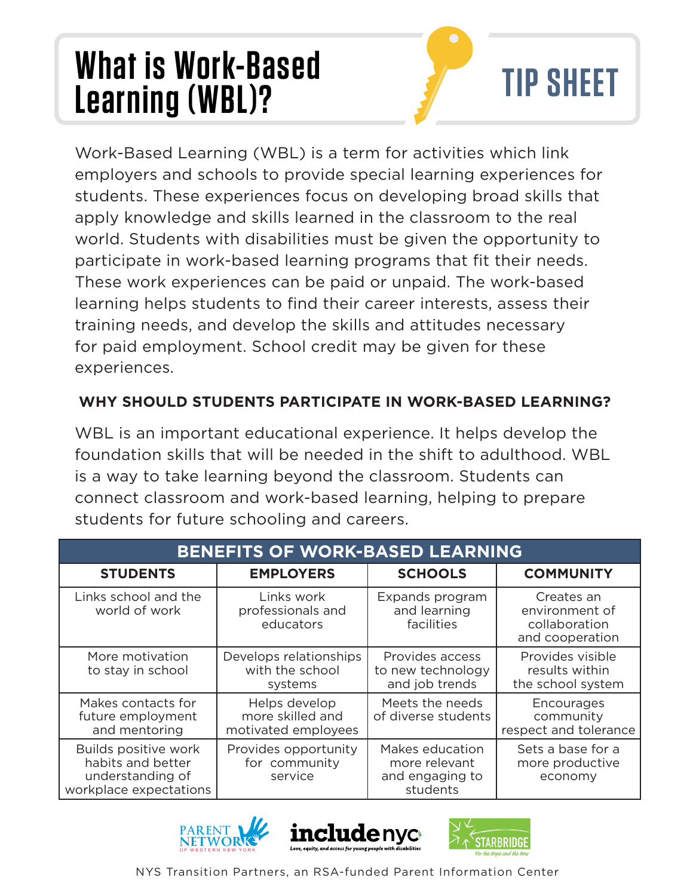## **What is Work-Based Learning (WBL)? TIP SHEET**



Work-Based Learning (WBL) is a term for activities which link employers and schools to provide special learning experiences for students. These experiences focus on developing broad skills that apply knowledge and skills learned in the classroom to the real world. Students with disabilities must be given the opportunity to participate in work-based learning programs that fit their needs. These work experiences can be paid or unpaid. The work-based learning helps students to find their career interests, assess their training needs, and develop the skills and attitudes necessary for paid employment. School credit may be given for these experiences.

## **WHY SHOULD STUDENTS PARTICIPATE IN WORK-BASED LEARNING?**

WBL is an important educational experience. It helps develop the foundation skills that will be needed in the shift to adulthood. WBL is a way to take learning beyond the classroom. Students can connect classroom and work-based learning, helping to prepare students for future schooling and careers.

| <b>BENEFITS OF WORK-BASED LEARNING</b>                                                  |                                                          |                                                                 |                                                                  |  |
|-----------------------------------------------------------------------------------------|----------------------------------------------------------|-----------------------------------------------------------------|------------------------------------------------------------------|--|
| <b>STUDENTS</b>                                                                         | <b>EMPLOYERS</b>                                         | <b>SCHOOLS</b>                                                  | <b>COMMUNITY</b>                                                 |  |
| Links school and the<br>world of work                                                   | Links work<br>professionals and<br>educators             | Expands program<br>and learning<br>facilities                   | Creates an<br>environment of<br>collaboration<br>and cooperation |  |
| More motivation<br>to stay in school                                                    | Develops relationships<br>with the school<br>systems     | Provides access<br>to new technology<br>and job trends          | Provides visible<br>results within<br>the school system          |  |
| Makes contacts for<br>future employment<br>and mentoring                                | Helps develop<br>more skilled and<br>motivated employees | Meets the needs<br>of diverse students                          | Encourages<br>community<br>respect and tolerance                 |  |
| Builds positive work<br>habits and better<br>understanding of<br>workplace expectations | Provides opportunity<br>for community<br>service         | Makes education<br>more relevant<br>and engaging to<br>students | Sets a base for a<br>more productive<br>economy                  |  |